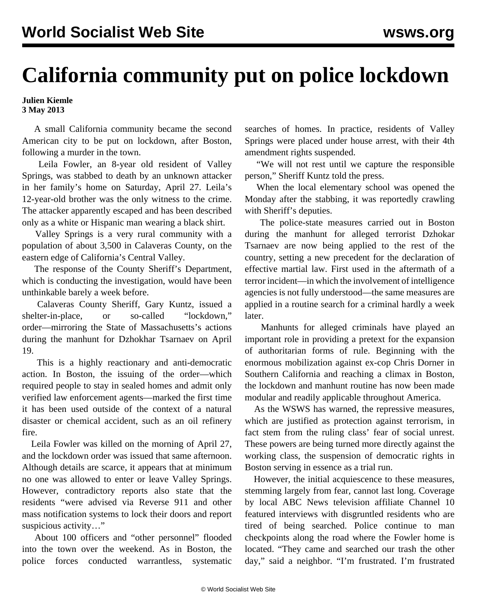## **California community put on police lockdown**

**Julien Kiemle 3 May 2013**

 A small California community became the second American city to be put on lockdown, after Boston, following a murder in the town.

 Leila Fowler, an 8-year old resident of Valley Springs, was stabbed to death by an unknown attacker in her family's home on Saturday, April 27. Leila's 12-year-old brother was the only witness to the crime. The attacker apparently escaped and has been described only as a white or Hispanic man wearing a black shirt.

 Valley Springs is a very rural community with a population of about 3,500 in Calaveras County, on the eastern edge of California's Central Valley.

 The response of the County Sheriff's Department, which is conducting the investigation, would have been unthinkable barely a week before.

 Calaveras County Sheriff, Gary Kuntz, issued a shelter-in-place, or so-called "lockdown," order—mirroring the State of Massachusetts's actions during the manhunt for Dzhokhar Tsarnaev on April 19.

 This is a highly reactionary and anti-democratic action. In Boston, the issuing of the order—which required people to stay in sealed homes and admit only verified law enforcement agents—marked the first time it has been used outside of the context of a natural disaster or chemical accident, such as an oil refinery fire.

 Leila Fowler was killed on the morning of April 27, and the lockdown order was issued that same afternoon. Although details are scarce, it appears that at minimum no one was allowed to enter or leave Valley Springs. However, contradictory reports also state that the residents "were advised via Reverse 911 and other mass notification systems to lock their doors and report suspicious activity…"

 About 100 officers and "other personnel" flooded into the town over the weekend. As in Boston, the police forces conducted warrantless, systematic searches of homes. In practice, residents of Valley Springs were placed under house arrest, with their 4th amendment rights suspended.

 "We will not rest until we capture the responsible person," Sheriff Kuntz told the press.

 When the local elementary school was opened the Monday after the stabbing, it was reportedly crawling with Sheriff's deputies.

 The police-state measures carried out in Boston during the manhunt for alleged terrorist Dzhokar Tsarnaev are now being applied to the rest of the country, setting a new precedent for the declaration of effective martial law. First used in the aftermath of a terror incident—in which the involvement of intelligence agencies is not fully understood—the same measures are applied in a routine search for a criminal hardly a week later.

 Manhunts for alleged criminals have played an important role in providing a pretext for the expansion of authoritarian forms of rule. Beginning with the enormous [mobilization against ex-cop Chris Dorner](/en/articles/2013/02/16/dorn-f16.html) in Southern California and reaching a climax in Boston, the lockdown and manhunt routine has now been made modular and readily applicable throughout America.

 As the WSWS has warned, the repressive measures, which are justified as protection against terrorism, in fact stem from the ruling class' fear of social unrest. These powers are being turned more directly against the working class, the suspension of democratic rights in Boston serving in essence as a trial run.

 However, the initial acquiescence to these measures, stemming largely from fear, cannot last long. Coverage by local ABC News television affiliate Channel 10 featured interviews with disgruntled residents who are tired of being searched. Police continue to man checkpoints along the road where the Fowler home is located. "They came and searched our trash the other day," said a neighbor. "I'm frustrated. I'm frustrated